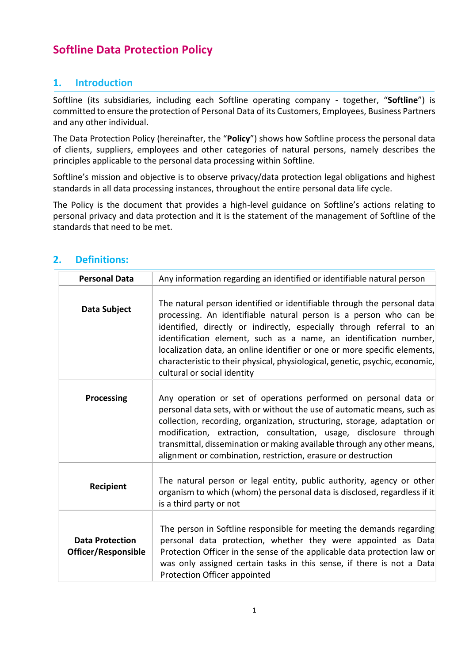# **Softline Data Protection Policy**

# **1. Introduction**

Softline (its subsidiaries, including each Softline operating company - together, "**Softline**") is committed to ensure the protection of Personal Data of its Customers, Employees, Business Partners and any other individual.

The Data Protection Policy (hereinafter, the "**Policy**") shows how Softline process the personal data of clients, suppliers, employees and other categories of natural persons, namely describes the principles applicable to the personal data processing within Softline.

Softline's mission and objective is to observe privacy/data protection legal obligations and highest standards in all data processing instances, throughout the entire personal data life cycle.

The Policy is the document that provides a high-level guidance on Softline's actions relating to personal privacy and data protection and it is the statement of the management of Softline of the standards that need to be met.

| <b>Personal Data</b>                                 | Any information regarding an identified or identifiable natural person                                                                                                                                                                                                                                                                                                                                                                                                                 |  |
|------------------------------------------------------|----------------------------------------------------------------------------------------------------------------------------------------------------------------------------------------------------------------------------------------------------------------------------------------------------------------------------------------------------------------------------------------------------------------------------------------------------------------------------------------|--|
| Data Subject                                         | The natural person identified or identifiable through the personal data<br>processing. An identifiable natural person is a person who can be<br>identified, directly or indirectly, especially through referral to an<br>identification element, such as a name, an identification number,<br>localization data, an online identifier or one or more specific elements,<br>characteristic to their physical, physiological, genetic, psychic, economic,<br>cultural or social identity |  |
| Processing                                           | Any operation or set of operations performed on personal data or<br>personal data sets, with or without the use of automatic means, such as<br>collection, recording, organization, structuring, storage, adaptation or<br>modification, extraction, consultation, usage, disclosure through<br>transmittal, dissemination or making available through any other means,<br>alignment or combination, restriction, erasure or destruction                                               |  |
| Recipient                                            | The natural person or legal entity, public authority, agency or other<br>organism to which (whom) the personal data is disclosed, regardless if it<br>is a third party or not                                                                                                                                                                                                                                                                                                          |  |
| <b>Data Protection</b><br><b>Officer/Responsible</b> | The person in Softline responsible for meeting the demands regarding<br>personal data protection, whether they were appointed as Data<br>Protection Officer in the sense of the applicable data protection law or<br>was only assigned certain tasks in this sense, if there is not a Data<br>Protection Officer appointed                                                                                                                                                             |  |

#### **2. Definitions:**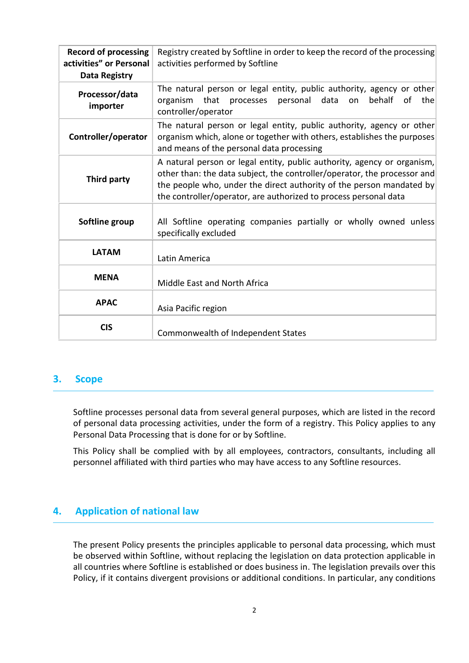| <b>Record of processing</b><br>activities" or Personal<br><b>Data Registry</b> | Registry created by Softline in order to keep the record of the processing<br>activities performed by Softline                                                                                                                                                                                  |  |  |
|--------------------------------------------------------------------------------|-------------------------------------------------------------------------------------------------------------------------------------------------------------------------------------------------------------------------------------------------------------------------------------------------|--|--|
| Processor/data<br>importer                                                     | The natural person or legal entity, public authority, agency or other<br>organism that<br>processes personal<br>data<br>behalf<br>of the<br>on<br>controller/operator                                                                                                                           |  |  |
| Controller/operator                                                            | The natural person or legal entity, public authority, agency or other<br>organism which, alone or together with others, establishes the purposes<br>and means of the personal data processing                                                                                                   |  |  |
| Third party                                                                    | A natural person or legal entity, public authority, agency or organism,<br>other than: the data subject, the controller/operator, the processor and<br>the people who, under the direct authority of the person mandated by<br>the controller/operator, are authorized to process personal data |  |  |
| Softline group                                                                 | All Softline operating companies partially or wholly owned unless<br>specifically excluded                                                                                                                                                                                                      |  |  |
| <b>LATAM</b>                                                                   | Latin America                                                                                                                                                                                                                                                                                   |  |  |
| <b>MENA</b>                                                                    | Middle East and North Africa                                                                                                                                                                                                                                                                    |  |  |
| <b>APAC</b>                                                                    | Asia Pacific region                                                                                                                                                                                                                                                                             |  |  |
| <b>CIS</b>                                                                     | Commonwealth of Independent States                                                                                                                                                                                                                                                              |  |  |

#### **3. Scope**

Softline processes personal data from several general purposes, which are listed in the record of personal data processing activities, under the form of a registry. This Policy applies to any Personal Data Processing that is done for or by Softline.

This Policy shall be complied with by all employees, contractors, consultants, including all personnel affiliated with third parties who may have access to any Softline resources.

#### **4. Application of national law**

The present Policy presents the principles applicable to personal data processing, which must be observed within Softline, without replacing the legislation on data protection applicable in all countries where Softline is established or does business in. The legislation prevails over this Policy, if it contains divergent provisions or additional conditions. In particular, any conditions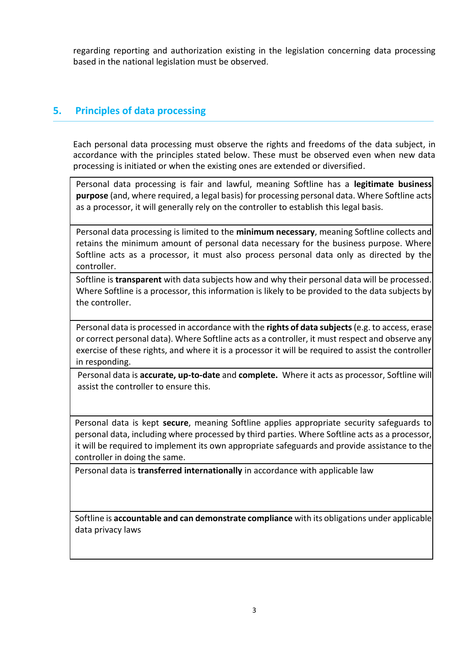regarding reporting and authorization existing in the legislation concerning data processing based in the national legislation must be observed.

# **5. Principles of data processing**

Each personal data processing must observe the rights and freedoms of the data subject, in accordance with the principles stated below. These must be observed even when new data processing is initiated or when the existing ones are extended or diversified.

Personal data processing is fair and lawful, meaning Softline has a **legitimate business purpose** (and, where required, a legal basis) for processing personal data. Where Softline acts as a processor, it will generally rely on the controller to establish this legal basis.

Personal data processing is limited to the **minimum necessary**, meaning Softline collects and retains the minimum amount of personal data necessary for the business purpose. Where Softline acts as a processor, it must also process personal data only as directed by the controller.

Softline is **transparent** with data subjects how and why their personal data will be processed. Where Softline is a processor, this information is likely to be provided to the data subjects by the controller.

Personal data is processed in accordance with the **rights of data subjects**(e.g. to access, erase or correct personal data). Where Softline acts as a controller, it must respect and observe any exercise of these rights, and where it is a processor it will be required to assist the controller in responding.

Personal data is **accurate, up-to-date** and **complete.** Where it acts as processor, Softline will assist the controller to ensure this.

Personal data is kept **secure**, meaning Softline applies appropriate security safeguards to personal data, including where processed by third parties. Where Softline acts as a processor, it will be required to implement its own appropriate safeguards and provide assistance to the controller in doing the same.

Personal data is **transferred internationally** in accordance with applicable law

Softline is **accountable and can demonstrate compliance** with its obligations under applicable data privacy laws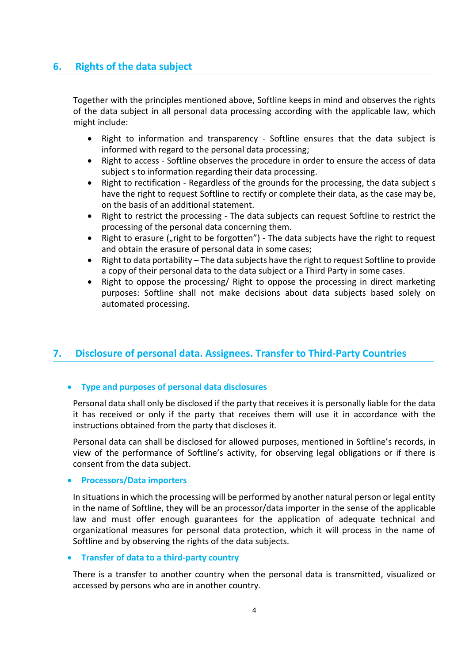# **6. Rights of the data subject**

Together with the principles mentioned above, Softline keeps in mind and observes the rights of the data subject in all personal data processing according with the applicable law, which might include:

- Right to information and transparency Softline ensures that the data subject is informed with regard to the personal data processing;
- Right to access Softline observes the procedure in order to ensure the access of data subject s to information regarding their data processing.
- Right to rectification Regardless of the grounds for the processing, the data subject s have the right to request Softline to rectify or complete their data, as the case may be, on the basis of an additional statement.
- Right to restrict the processing The data subjects can request Softline to restrict the processing of the personal data concerning them.
- Right to erasure ("right to be forgotten") The data subjects have the right to request and obtain the erasure of personal data in some cases;
- Right to data portability The data subjects have the right to request Softline to provide a copy of their personal data to the data subject or a Third Party in some cases.
- Right to oppose the processing/ Right to oppose the processing in direct marketing purposes: Softline shall not make decisions about data subjects based solely on automated processing.

# **7. Disclosure of personal data. Assignees. Transfer to Third-Party Countries**

#### **Type and purposes of personal data disclosures**

Personal data shall only be disclosed if the party that receives it is personally liable for the data it has received or only if the party that receives them will use it in accordance with the instructions obtained from the party that discloses it.

Personal data can shall be disclosed for allowed purposes, mentioned in Softline's records, in view of the performance of Softline's activity, for observing legal obligations or if there is consent from the data subject.

#### **Processors/Data importers**

In situations in which the processing will be performed by another natural person or legal entity in the name of Softline, they will be an processor/data importer in the sense of the applicable law and must offer enough guarantees for the application of adequate technical and organizational measures for personal data protection, which it will process in the name of Softline and by observing the rights of the data subjects.

#### **Transfer of data to a third-party country**

There is a transfer to another country when the personal data is transmitted, visualized or accessed by persons who are in another country.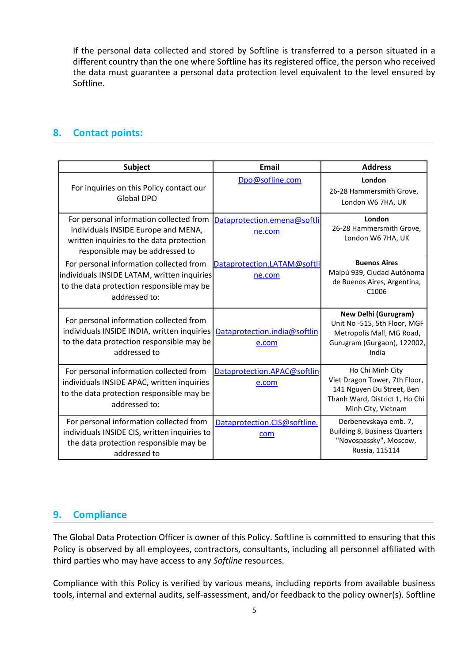If the personal data collected and stored by Softline is transferred to a person situated in a different country than the one where Softline has its registered office, the person who received the data must guarantee a personal data protection level equivalent to the level ensured by Softline.

#### **8. Contact points:**

| <b>Subject</b>                                                                                                                                                | <b>Email</b>                          | <b>Address</b>                                                                                                                         |
|---------------------------------------------------------------------------------------------------------------------------------------------------------------|---------------------------------------|----------------------------------------------------------------------------------------------------------------------------------------|
| For inquiries on this Policy contact our<br><b>Global DPO</b>                                                                                                 | Dpo@sofline.com                       | London<br>26-28 Hammersmith Grove,<br>London W6 7HA, UK                                                                                |
| For personal information collected from<br>individuals INSIDE Europe and MENA,<br>written inquiries to the data protection<br>responsible may be addressed to | Dataprotection.emena@softli<br>ne.com | London<br>26-28 Hammersmith Grove,<br>London W6 7HA, UK                                                                                |
| For personal information collected from<br>individuals INSIDE LATAM, written inquiries<br>to the data protection responsible may be<br>addressed to:          | Dataprotection.LATAM@softli<br>ne.com | <b>Buenos Aires</b><br>Maipú 939, Ciudad Autónoma<br>de Buenos Aires, Argentina,<br>C <sub>1006</sub>                                  |
| For personal information collected from<br>individuals INSIDE INDIA, written inquiries<br>to the data protection responsible may be<br>addressed to           | Dataprotection.india@softlin<br>e.com | <b>New Delhi (Gurugram)</b><br>Unit No -515, 5th Floor, MGF<br>Metropolis Mall, MG Road,<br>Gurugram (Gurgaon), 122002,<br>India       |
| For personal information collected from<br>individuals INSIDE APAC, written inquiries<br>to the data protection responsible may be<br>addressed to:           | Dataprotection.APAC@softlin<br>e.com  | Ho Chi Minh City<br>Viet Dragon Tower, 7th Floor,<br>141 Nguyen Du Street, Ben<br>Thanh Ward, District 1, Ho Chi<br>Minh City, Vietnam |
| For personal information collected from<br>individuals INSIDE CIS, written inquiries to<br>the data protection responsible may be<br>addressed to             | Dataprotection.CIS@softline.<br>com   | Derbenevskaya emb. 7,<br><b>Building 8, Business Quarters</b><br>"Novospassky", Moscow,<br>Russia, 115114                              |

# **9. Compliance**

The Global Data Protection Officer is owner of this Policy. Softline is committed to ensuring that this Policy is observed by all employees, contractors, consultants, including all personnel affiliated with third parties who may have access to any *Softline* resources.

Compliance with this Policy is verified by various means, including reports from available business tools, internal and external audits, self-assessment, and/or feedback to the policy owner(s). Softline